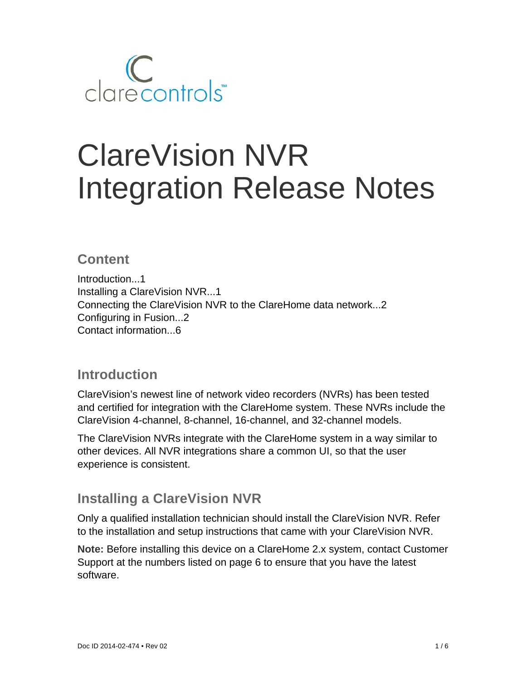

# ClareVision NVR Integration Release Notes

### **Content**

Introduction...1 Installing a ClareVision NVR...1 Connecting the ClareVision NVR to the ClareHome data network...2 Configuring in Fusion...2 Contact information...6

## **Introduction**

ClareVision's newest line of network video recorders (NVRs) has been tested and certified for integration with the ClareHome system. These NVRs include the ClareVision 4-channel, 8-channel, 16-channel, and 32-channel models.

The ClareVision NVRs integrate with the ClareHome system in a way similar to other devices. All NVR integrations share a common UI, so that the user experience is consistent.

## **Installing a ClareVision NVR**

Only a qualified installation technician should install the ClareVision NVR. Refer to the installation and setup instructions that came with your ClareVision NVR.

**Note:** Before installing this device on a ClareHome 2.x system, contact Customer Support at the numbers listed on page 6 to ensure that you have the latest software.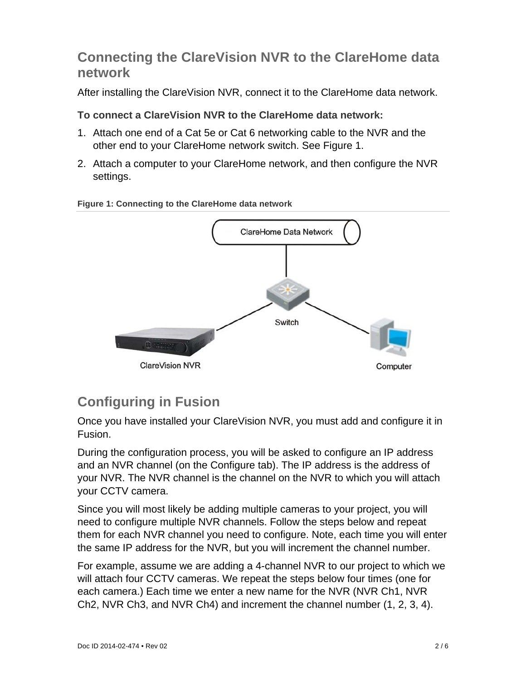## **Connecting the ClareVision NVR to the ClareHome data network**

After installing the ClareVision NVR, connect it to the ClareHome data network.

#### **To connect a ClareVision NVR to the ClareHome data network:**

- 1. Attach one end of a Cat 5e or Cat 6 networking cable to the NVR and the other end to your ClareHome network switch. See Figure 1.
- 2. Attach a computer to your ClareHome network, and then configure the NVR settings.



#### **Figure 1: Connecting to the ClareHome data network**

# **Configuring in Fusion**

Once you have installed your ClareVision NVR, you must add and configure it in Fusion.

During the configuration process, you will be asked to configure an IP address and an NVR channel (on the Configure tab). The IP address is the address of your NVR. The NVR channel is the channel on the NVR to which you will attach your CCTV camera.

Since you will most likely be adding multiple cameras to your project, you will need to configure multiple NVR channels. Follow the steps below and repeat them for each NVR channel you need to configure. Note, each time you will enter the same IP address for the NVR, but you will increment the channel number.

For example, assume we are adding a 4-channel NVR to our project to which we will attach four CCTV cameras. We repeat the steps below four times (one for each camera.) Each time we enter a new name for the NVR (NVR Ch1, NVR Ch2, NVR Ch3, and NVR Ch4) and increment the channel number (1, 2, 3, 4).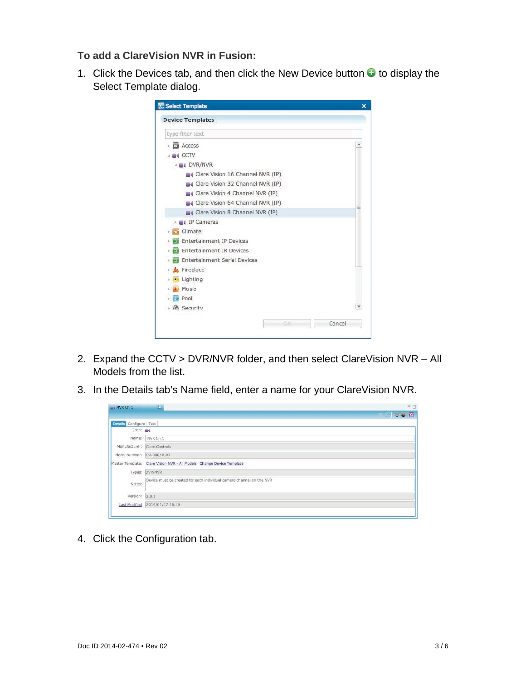#### **To add a ClareVision NVR in Fusion:**

1. Click the Devices tab, and then click the New Device button  $\bullet$  to display the Select Template dialog.

| type filter text                         |   |
|------------------------------------------|---|
| <b>C</b> Access                          |   |
| <b>CCTV</b>                              |   |
| <b>B</b> DVR/NVR                         |   |
| Clare Vision 16 Channel NVR (IP)         |   |
| Clare Vision 32 Channel NVR (IP)         |   |
| Clare Vision 4 Channel NVR (IP)          |   |
| Clare Vision 64 Channel NVR (IP)         | Ξ |
| Clare Vision 8 Channel NVR (IP)          |   |
| IP Cameras                               |   |
| Climate                                  |   |
| <b>Entertainment IP Devices</b>          |   |
| Entertainment IR Devices                 |   |
| <b>Entertainment Serial Devices</b><br>Б |   |
| Fireplace                                |   |
| Lighting                                 |   |
| Music                                    |   |
| Pool                                     |   |
| <b>A</b> Security                        |   |

- 2. Expand the CCTV > DVR/NVR folder, and then select ClareVision NVR All Models from the list.
- 3. In the Details tab's Name field, enter a name for your ClareVision NVR.

| NVR Ch 1                         | $\mathbb{Z}$                                                          | $-6$ |
|----------------------------------|-----------------------------------------------------------------------|------|
|                                  |                                                                       | 図写る図 |
| Configure Test<br><b>Details</b> |                                                                       |      |
| $Icon: \blacksquare$             |                                                                       |      |
|                                  | Name: NVR Ch 1                                                        |      |
|                                  | Manufacturer: Clare Controls                                          |      |
|                                  | Model Number: CV-B8810-02                                             |      |
|                                  | Master Template: Clare Vision NVR - All Models Change Device Template |      |
|                                  | Types: DVR/NVR                                                        |      |
| Notes:                           | Device must be created for each individual camera channel on the NVR  |      |
| Version: 2.0.1                   |                                                                       |      |
| <b>Last Modified</b>             | 2014/01/27 16:45                                                      |      |
|                                  |                                                                       |      |

4. Click the Configuration tab.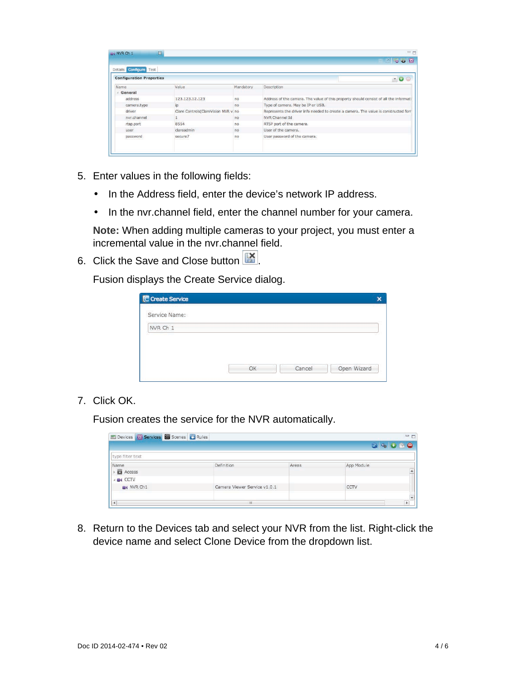|                                                           |                                     |                | ※ 喝 零 画                                                                               |
|-----------------------------------------------------------|-------------------------------------|----------------|---------------------------------------------------------------------------------------|
| Details Configure Test<br><b>Configuration Properties</b> |                                     |                | $-0o$                                                                                 |
| Name                                                      | Value.                              | Mandatory      | Description                                                                           |
| General                                                   |                                     |                |                                                                                       |
| address                                                   | 123.123.12.123                      | no             | Address of the camera. The value of this property should consist of all the informati |
| camera.type                                               | İD                                  | no             | Type of camera. May be IP or USB.                                                     |
| driver                                                    | Clare Controls(ClareVision NVR v.no |                | Represents the driver info needed to create a camera. The value is constructed forr   |
| nyr.channel                                               |                                     | no             | NVR Channel Id                                                                        |
| rtsp.port                                                 | 8554                                | n <sub>0</sub> | RTSP port of the camera.                                                              |
| user                                                      | clareadmin                          | no             | User of the camera.                                                                   |
| password                                                  | secure7                             | no             | User password of the camera.                                                          |

- 5. Enter values in the following fields:
	- In the Address field, enter the device's network IP address.
	- In the nvr.channel field, enter the channel number for your camera.

**Note:** When adding multiple cameras to your project, you must enter a incremental value in the nvr.channel field.

6. Click the Save and Close button  $\mathbb{R}$ .

Fusion displays the Create Service dialog.

| C Create Service |    |        |             |
|------------------|----|--------|-------------|
| Service Name:    |    |        |             |
| NVR Ch 1         |    |        |             |
|                  |    |        |             |
|                  |    |        |             |
|                  | OK | Cancel | Open Wizard |

7. Click OK.

Fusion creates the service for the NVR automatically.

|                              |       | <b>G 4 0 5 0</b> |
|------------------------------|-------|------------------|
|                              |       |                  |
| Definition                   | Areas | App Module       |
|                              |       |                  |
| Camera Viewer Service v1.0.1 |       | CCTV             |
|                              |       |                  |

8. Return to the Devices tab and select your NVR from the list. Right-click the device name and select Clone Device from the dropdown list.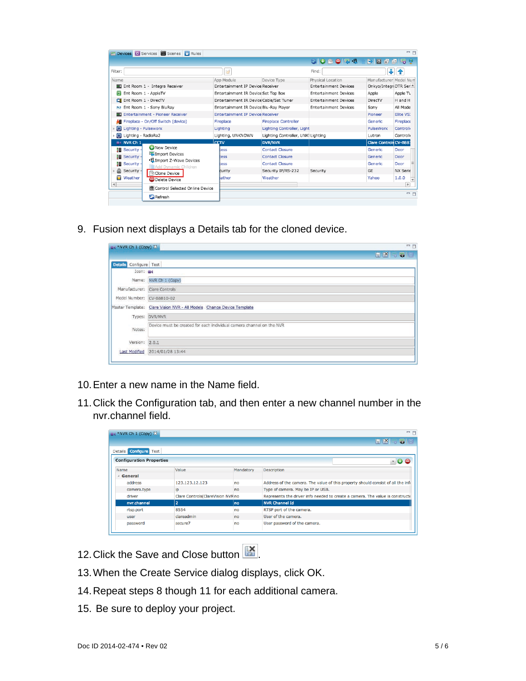| Devices <b>83</b> Services <b>85</b> Scenes <b>19</b> Rules   |                                         |                                    |                              |                        | $=$ $F$   |
|---------------------------------------------------------------|-----------------------------------------|------------------------------------|------------------------------|------------------------|-----------|
|                                                               |                                         |                                    | GONORI                       |                        |           |
| Filter:                                                       | 3                                       |                                    | Find:                        | ÷                      | Ŧ         |
| Name                                                          | App Module                              | Device Type                        | Physical Location            | Manufacturer Model Num |           |
| <b>Ent Room 1 - Integra Receiver</b>                          | Entertainment IP Device Receiver        |                                    | <b>Entertainment Devices</b> | Onkyo/Integri DTR Ser  |           |
| Ent Room 1 - AppleTV                                          | Entertainment IR Device Set Top Box     |                                    | <b>Entertainment Devices</b> | Apple                  | Apple T\  |
| Ent Room 1 - DirecTV                                          | Entertainment IR Device Cable/Sat Tuner |                                    | <b>Entertainment Devices</b> | DirecTV                | H and H   |
| => Ent Room 1 - Sony BluRay                                   | Entertainment IR Device Blu-Ray Player  |                                    | <b>Entertainment Devices</b> | Sony                   | All Mode  |
| <b>MD</b> Entertainment - Pioneer Receiver                    | Entertainment IP Device Receiver        |                                    |                              | Pioneer                | Elite VS: |
| Fireplace - On/Off Switch (device)                            | Fireplace                               | <b>Fireplace Controller</b>        |                              | Generic                | Fireplace |
| Lighting - Pulseworx                                          | Lighting                                | Lighting Controller, Light         |                              | PulseWorx              | Controlle |
| Lighting - RadioRa2                                           | Lighting, UNKNOWN                       | Lighting Controller, UNKI Lighting |                              | Lutron                 | Controlle |
| <b>EX NVR Ch 1</b>                                            | cc <sub>TV</sub>                        | <b>DVR/NVR</b>                     |                              | Clare Controls CV-B881 |           |
| <b>O</b> New Device<br><b>*</b> Security ·                    | tess                                    | <b>Contact Closure</b>             |                              | <b>Generic</b>         | Door      |
| Import Devices<br><b>】 Security -</b>                         | tess                                    | Contact Closure                    |                              | <b>Generic</b>         | Door      |
| Import Z-Wave Devices<br>■ Security -<br>Add Dynamic Children | tess                                    | <b>Contact Closure</b>             |                              | <b>Generic</b>         | Door      |
| Security -<br>Clone Device                                    | curity                                  | Security IP/RS-232                 | Security                     | <b>GE</b>              | NX Serie  |
| <b>Weather</b><br>O Delete Device                             | <b>Pather</b>                           | Weather                            |                              | Yahoo                  | 1.0.0     |
| $\blacktriangleleft$<br>Control Selected Online Device        |                                         |                                    |                              |                        | Þ.        |
|                                                               |                                         |                                    |                              |                        | $=$ $F$   |
| Refresh                                                       |                                         |                                    |                              |                        |           |

9. Fusion next displays a Details tab for the cloned device.

| $\mathbb{N}$ *NVR Ch 1 (Copy) $\%$ |                                                                       | $=$ $E$       |
|------------------------------------|-----------------------------------------------------------------------|---------------|
|                                    |                                                                       | <b>HK 558</b> |
| Details Configure Test             |                                                                       |               |
| $Icon: \blacksquare$               |                                                                       |               |
|                                    | Name: NVR Ch 1 (Copy)                                                 |               |
| Manufacturer: Clare Controls       |                                                                       |               |
| Model Number: CV-B8810-02          |                                                                       |               |
|                                    | Master Template: Clare Vision NVR - All Models Change Device Template |               |
|                                    | Types: DVR/NVR                                                        |               |
| Notes:                             | Device must be created for each individual camera channel on the NVR  |               |
| Version: 2.0.1                     |                                                                       |               |
| <b>Last Modified</b>               | 2014/01/28 13:44                                                      |               |
|                                    |                                                                       |               |

- 10. Enter a new name in the Name field.
- 11. Click the Configuration tab, and then enter a new channel number in the nvr.channel field.

|                                 |                                   |                | HKF58                                                                             |
|---------------------------------|-----------------------------------|----------------|-----------------------------------------------------------------------------------|
|                                 |                                   |                |                                                                                   |
| Details <b>Configure</b> Test   |                                   |                |                                                                                   |
| <b>Configuration Properties</b> |                                   |                | $ \bullet$                                                                        |
| Name                            | Value                             | Mandatory      | <b>Description</b>                                                                |
| 4 General                       |                                   |                |                                                                                   |
| address                         | 123.123.12.123                    | no             | Address of the camera. The value of this property should consist of all the infi- |
| camera.type                     | ip                                | n <sub>0</sub> | Type of camera. May be IP or USB.                                                 |
| driver                          | Clare Controls(ClareVision NVR no |                | Represents the driver info needed to create a camera. The value is constructe     |
| nvr.channel                     | $\overline{2}$                    | no             | <b>NVR Channel Id</b>                                                             |
| rtsp.port                       | 8554                              | no             | RTSP port of the camera.                                                          |
| user                            | clareadmin                        | no             | User of the camera.                                                               |
| password                        | secure7                           | no             | User password of the camera.                                                      |

- 12. Click the Save and Close button ...
- 13. When the Create Service dialog displays, click OK.
- 14. Repeat steps 8 though 11 for each additional camera.
- 15. Be sure to deploy your project.